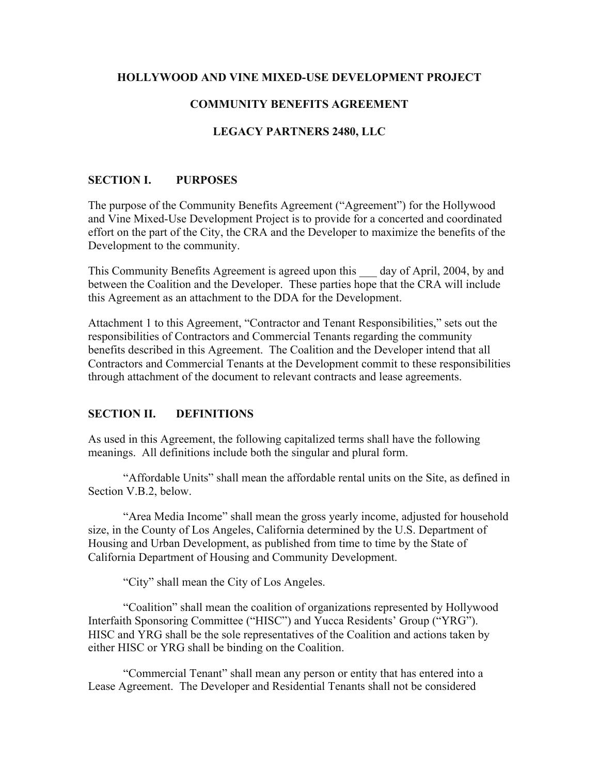#### **HOLLYWOOD AND VINE MIXED-USE DEVELOPMENT PROJECT**

### **COMMUNITY BENEFITS AGREEMENT**

#### **LEGACY PARTNERS 2480, LLC**

#### **SECTION I. PURPOSES**

The purpose of the Community Benefits Agreement ("Agreement") for the Hollywood and Vine Mixed-Use Development Project is to provide for a concerted and coordinated effort on the part of the City, the CRA and the Developer to maximize the benefits of the Development to the community.

This Community Benefits Agreement is agreed upon this \_\_\_ day of April, 2004, by and between the Coalition and the Developer. These parties hope that the CRA will include this Agreement as an attachment to the DDA for the Development.

Attachment 1 to this Agreement, "Contractor and Tenant Responsibilities," sets out the responsibilities of Contractors and Commercial Tenants regarding the community benefits described in this Agreement. The Coalition and the Developer intend that all Contractors and Commercial Tenants at the Development commit to these responsibilities through attachment of the document to relevant contracts and lease agreements.

#### **SECTION II. DEFINITIONS**

As used in this Agreement, the following capitalized terms shall have the following meanings. All definitions include both the singular and plural form.

"Affordable Units" shall mean the affordable rental units on the Site, as defined in Section V.B.2, below.

"Area Media Income" shall mean the gross yearly income, adjusted for household size, in the County of Los Angeles, California determined by the U.S. Department of Housing and Urban Development, as published from time to time by the State of California Department of Housing and Community Development.

"City" shall mean the City of Los Angeles.

"Coalition" shall mean the coalition of organizations represented by Hollywood Interfaith Sponsoring Committee ("HISC") and Yucca Residents' Group ("YRG"). HISC and YRG shall be the sole representatives of the Coalition and actions taken by either HISC or YRG shall be binding on the Coalition.

"Commercial Tenant" shall mean any person or entity that has entered into a Lease Agreement. The Developer and Residential Tenants shall not be considered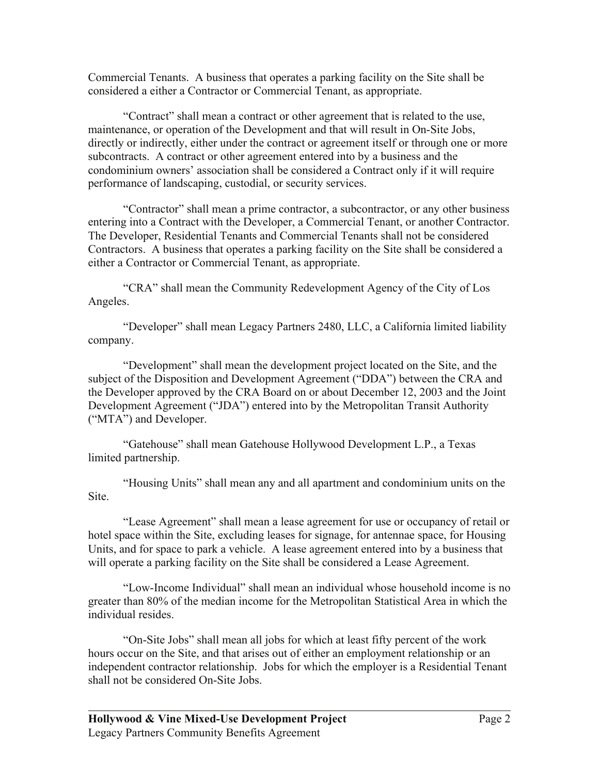Commercial Tenants. A business that operates a parking facility on the Site shall be considered a either a Contractor or Commercial Tenant, as appropriate.

"Contract" shall mean a contract or other agreement that is related to the use, maintenance, or operation of the Development and that will result in On-Site Jobs, directly or indirectly, either under the contract or agreement itself or through one or more subcontracts. A contract or other agreement entered into by a business and the condominium owners' association shall be considered a Contract only if it will require performance of landscaping, custodial, or security services.

"Contractor" shall mean a prime contractor, a subcontractor, or any other business entering into a Contract with the Developer, a Commercial Tenant, or another Contractor. The Developer, Residential Tenants and Commercial Tenants shall not be considered Contractors. A business that operates a parking facility on the Site shall be considered a either a Contractor or Commercial Tenant, as appropriate.

"CRA" shall mean the Community Redevelopment Agency of the City of Los Angeles.

"Developer" shall mean Legacy Partners 2480, LLC, a California limited liability company.

"Development" shall mean the development project located on the Site, and the subject of the Disposition and Development Agreement ("DDA") between the CRA and the Developer approved by the CRA Board on or about December 12, 2003 and the Joint Development Agreement ("JDA") entered into by the Metropolitan Transit Authority ("MTA") and Developer.

"Gatehouse" shall mean Gatehouse Hollywood Development L.P., a Texas limited partnership.

"Housing Units" shall mean any and all apartment and condominium units on the Site.

"Lease Agreement" shall mean a lease agreement for use or occupancy of retail or hotel space within the Site, excluding leases for signage, for antennae space, for Housing Units, and for space to park a vehicle. A lease agreement entered into by a business that will operate a parking facility on the Site shall be considered a Lease Agreement.

"Low-Income Individual" shall mean an individual whose household income is no greater than 80% of the median income for the Metropolitan Statistical Area in which the individual resides.

"On-Site Jobs" shall mean all jobs for which at least fifty percent of the work hours occur on the Site, and that arises out of either an employment relationship or an independent contractor relationship. Jobs for which the employer is a Residential Tenant shall not be considered On-Site Jobs.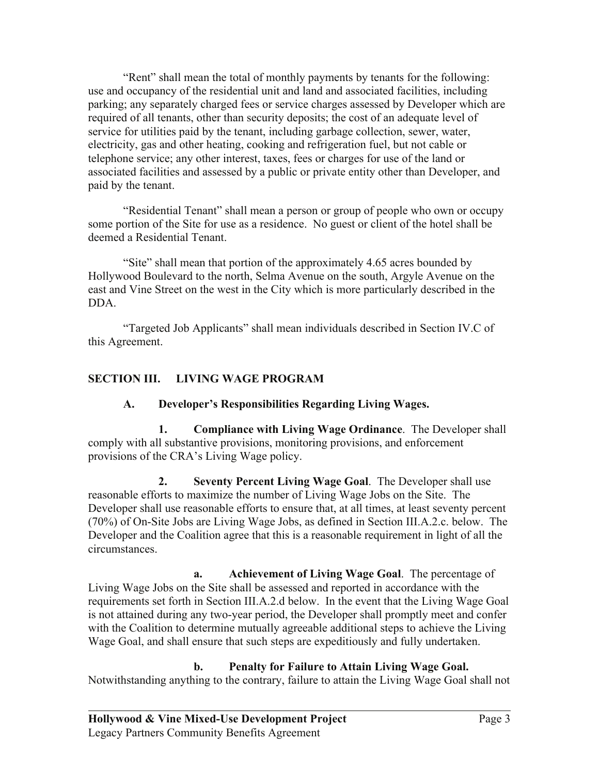"Rent" shall mean the total of monthly payments by tenants for the following: use and occupancy of the residential unit and land and associated facilities, including parking; any separately charged fees or service charges assessed by Developer which are required of all tenants, other than security deposits; the cost of an adequate level of service for utilities paid by the tenant, including garbage collection, sewer, water, electricity, gas and other heating, cooking and refrigeration fuel, but not cable or telephone service; any other interest, taxes, fees or charges for use of the land or associated facilities and assessed by a public or private entity other than Developer, and paid by the tenant.

"Residential Tenant" shall mean a person or group of people who own or occupy some portion of the Site for use as a residence. No guest or client of the hotel shall be deemed a Residential Tenant.

"Site" shall mean that portion of the approximately 4.65 acres bounded by Hollywood Boulevard to the north, Selma Avenue on the south, Argyle Avenue on the east and Vine Street on the west in the City which is more particularly described in the DDA.

"Targeted Job Applicants" shall mean individuals described in Section IV.C of this Agreement.

# **SECTION III. LIVING WAGE PROGRAM**

# **A. Developer's Responsibilities Regarding Living Wages.**

**1. Compliance with Living Wage Ordinance**. The Developer shall comply with all substantive provisions, monitoring provisions, and enforcement provisions of the CRA's Living Wage policy.

**2. Seventy Percent Living Wage Goal**. The Developer shall use reasonable efforts to maximize the number of Living Wage Jobs on the Site. The Developer shall use reasonable efforts to ensure that, at all times, at least seventy percent (70%) of On-Site Jobs are Living Wage Jobs, as defined in Section III.A.2.c. below. The Developer and the Coalition agree that this is a reasonable requirement in light of all the circumstances.

**a. Achievement of Living Wage Goal**. The percentage of Living Wage Jobs on the Site shall be assessed and reported in accordance with the requirements set forth in Section III.A.2.d below. In the event that the Living Wage Goal is not attained during any two-year period, the Developer shall promptly meet and confer with the Coalition to determine mutually agreeable additional steps to achieve the Living Wage Goal, and shall ensure that such steps are expeditiously and fully undertaken.

**b. Penalty for Failure to Attain Living Wage Goal.**  Notwithstanding anything to the contrary, failure to attain the Living Wage Goal shall not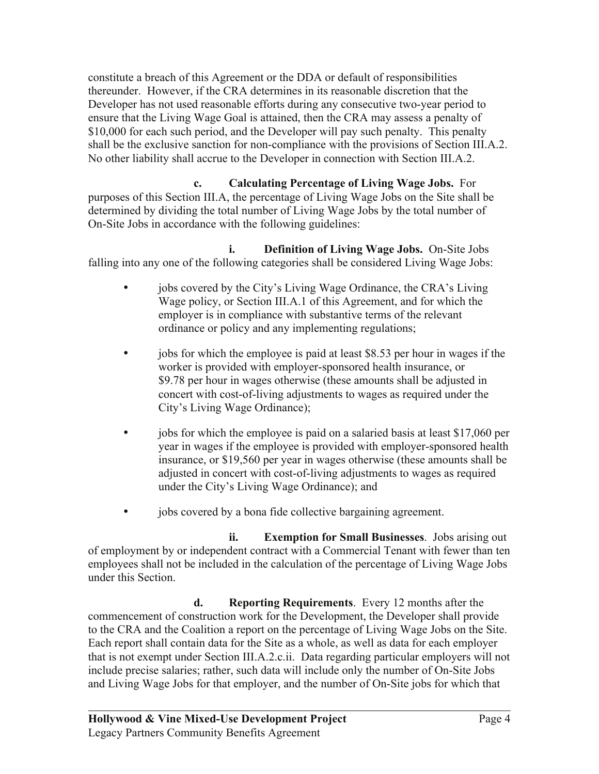constitute a breach of this Agreement or the DDA or default of responsibilities thereunder. However, if the CRA determines in its reasonable discretion that the Developer has not used reasonable efforts during any consecutive two-year period to ensure that the Living Wage Goal is attained, then the CRA may assess a penalty of \$10,000 for each such period, and the Developer will pay such penalty. This penalty shall be the exclusive sanction for non-compliance with the provisions of Section III.A.2. No other liability shall accrue to the Developer in connection with Section III.A.2.

**c. Calculating Percentage of Living Wage Jobs.** For purposes of this Section III.A, the percentage of Living Wage Jobs on the Site shall be determined by dividing the total number of Living Wage Jobs by the total number of On-Site Jobs in accordance with the following guidelines:

**i. Definition of Living Wage Jobs.** On-Site Jobs falling into any one of the following categories shall be considered Living Wage Jobs:

- jobs covered by the City's Living Wage Ordinance, the CRA's Living Wage policy, or Section III.A.1 of this Agreement, and for which the employer is in compliance with substantive terms of the relevant ordinance or policy and any implementing regulations;
- jobs for which the employee is paid at least \$8.53 per hour in wages if the worker is provided with employer-sponsored health insurance, or \$9.78 per hour in wages otherwise (these amounts shall be adjusted in concert with cost-of-living adjustments to wages as required under the City's Living Wage Ordinance);
- jobs for which the employee is paid on a salaried basis at least \$17,060 per year in wages if the employee is provided with employer-sponsored health insurance, or \$19,560 per year in wages otherwise (these amounts shall be adjusted in concert with cost-of-living adjustments to wages as required under the City's Living Wage Ordinance); and
- jobs covered by a bona fide collective bargaining agreement.

**ii. Exemption for Small Businesses**. Jobs arising out of employment by or independent contract with a Commercial Tenant with fewer than ten employees shall not be included in the calculation of the percentage of Living Wage Jobs under this Section.

**d. Reporting Requirements**. Every 12 months after the commencement of construction work for the Development, the Developer shall provide to the CRA and the Coalition a report on the percentage of Living Wage Jobs on the Site. Each report shall contain data for the Site as a whole, as well as data for each employer that is not exempt under Section III.A.2.c.ii. Data regarding particular employers will not include precise salaries; rather, such data will include only the number of On-Site Jobs and Living Wage Jobs for that employer, and the number of On-Site jobs for which that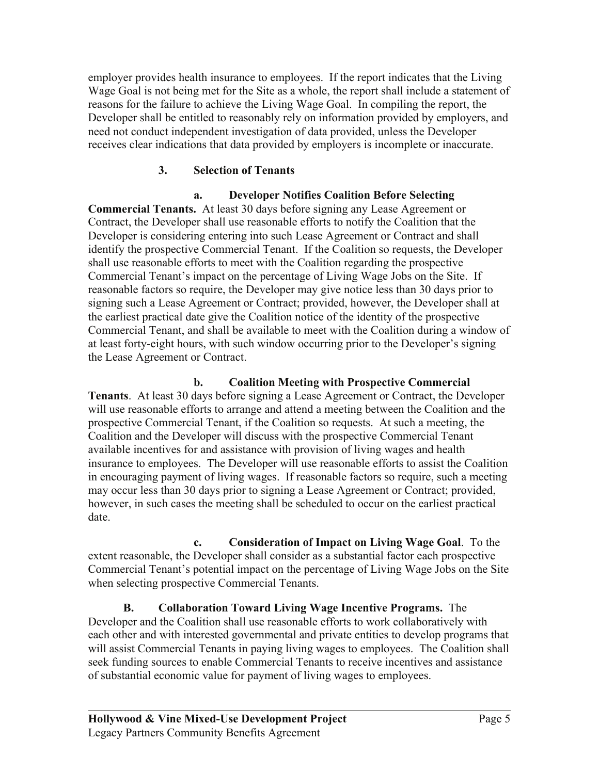employer provides health insurance to employees. If the report indicates that the Living Wage Goal is not being met for the Site as a whole, the report shall include a statement of reasons for the failure to achieve the Living Wage Goal. In compiling the report, the Developer shall be entitled to reasonably rely on information provided by employers, and need not conduct independent investigation of data provided, unless the Developer receives clear indications that data provided by employers is incomplete or inaccurate.

# **3. Selection of Tenants**

# **a. Developer Notifies Coalition Before Selecting**

**Commercial Tenants.** At least 30 days before signing any Lease Agreement or Contract, the Developer shall use reasonable efforts to notify the Coalition that the Developer is considering entering into such Lease Agreement or Contract and shall identify the prospective Commercial Tenant. If the Coalition so requests, the Developer shall use reasonable efforts to meet with the Coalition regarding the prospective Commercial Tenant's impact on the percentage of Living Wage Jobs on the Site. If reasonable factors so require, the Developer may give notice less than 30 days prior to signing such a Lease Agreement or Contract; provided, however, the Developer shall at the earliest practical date give the Coalition notice of the identity of the prospective Commercial Tenant, and shall be available to meet with the Coalition during a window of at least forty-eight hours, with such window occurring prior to the Developer's signing the Lease Agreement or Contract.

# **b. Coalition Meeting with Prospective Commercial**

**Tenants**. At least 30 days before signing a Lease Agreement or Contract, the Developer will use reasonable efforts to arrange and attend a meeting between the Coalition and the prospective Commercial Tenant, if the Coalition so requests. At such a meeting, the Coalition and the Developer will discuss with the prospective Commercial Tenant available incentives for and assistance with provision of living wages and health insurance to employees. The Developer will use reasonable efforts to assist the Coalition in encouraging payment of living wages. If reasonable factors so require, such a meeting may occur less than 30 days prior to signing a Lease Agreement or Contract; provided, however, in such cases the meeting shall be scheduled to occur on the earliest practical date.

**c. Consideration of Impact on Living Wage Goal**. To the extent reasonable, the Developer shall consider as a substantial factor each prospective Commercial Tenant's potential impact on the percentage of Living Wage Jobs on the Site when selecting prospective Commercial Tenants.

**B. Collaboration Toward Living Wage Incentive Programs.** The Developer and the Coalition shall use reasonable efforts to work collaboratively with each other and with interested governmental and private entities to develop programs that will assist Commercial Tenants in paying living wages to employees. The Coalition shall seek funding sources to enable Commercial Tenants to receive incentives and assistance of substantial economic value for payment of living wages to employees.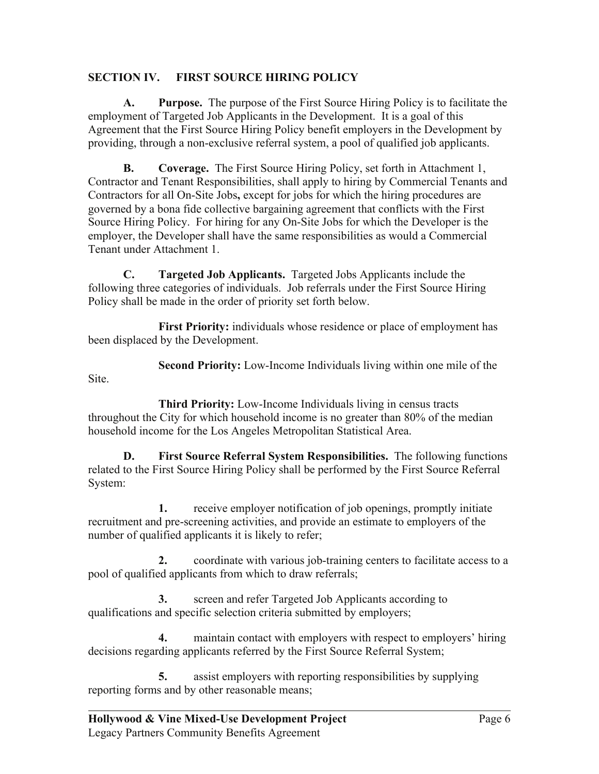# **SECTION IV. FIRST SOURCE HIRING POLICY**

**A. Purpose.** The purpose of the First Source Hiring Policy is to facilitate the employment of Targeted Job Applicants in the Development. It is a goal of this Agreement that the First Source Hiring Policy benefit employers in the Development by providing, through a non-exclusive referral system, a pool of qualified job applicants.

**B. Coverage.** The First Source Hiring Policy, set forth in Attachment 1, Contractor and Tenant Responsibilities, shall apply to hiring by Commercial Tenants and Contractors for all On-Site Jobs**,** except for jobs for which the hiring procedures are governed by a bona fide collective bargaining agreement that conflicts with the First Source Hiring Policy. For hiring for any On-Site Jobs for which the Developer is the employer, the Developer shall have the same responsibilities as would a Commercial Tenant under Attachment 1.

**C. Targeted Job Applicants.** Targeted Jobs Applicants include the following three categories of individuals. Job referrals under the First Source Hiring Policy shall be made in the order of priority set forth below.

**First Priority:** individuals whose residence or place of employment has been displaced by the Development.

**Second Priority:** Low-Income Individuals living within one mile of the Site.

**Third Priority:** Low-Income Individuals living in census tracts throughout the City for which household income is no greater than 80% of the median household income for the Los Angeles Metropolitan Statistical Area.

**D. First Source Referral System Responsibilities.** The following functions related to the First Source Hiring Policy shall be performed by the First Source Referral System:

**1.** receive employer notification of job openings, promptly initiate recruitment and pre-screening activities, and provide an estimate to employers of the number of qualified applicants it is likely to refer;

**2.** coordinate with various job-training centers to facilitate access to a pool of qualified applicants from which to draw referrals;

**3.** screen and refer Targeted Job Applicants according to qualifications and specific selection criteria submitted by employers;

**4.** maintain contact with employers with respect to employers' hiring decisions regarding applicants referred by the First Source Referral System;

**5.** assist employers with reporting responsibilities by supplying reporting forms and by other reasonable means;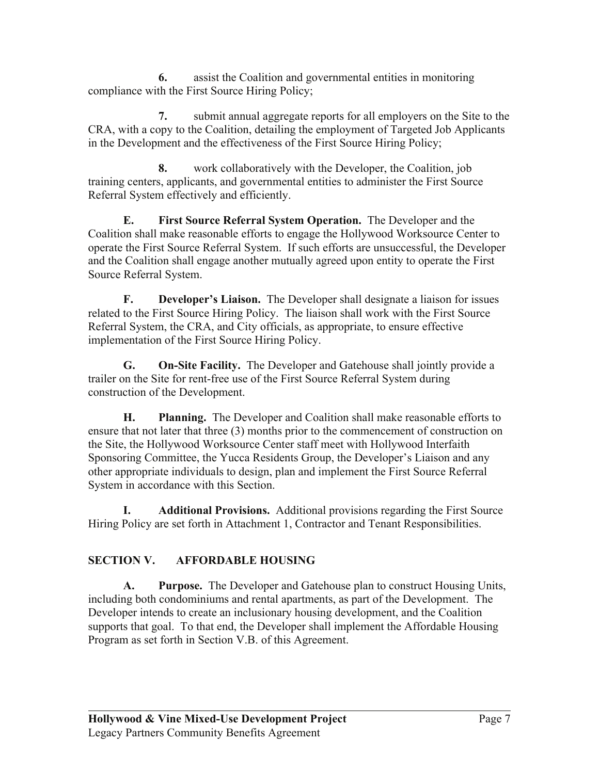**6.** assist the Coalition and governmental entities in monitoring compliance with the First Source Hiring Policy;

**7.** submit annual aggregate reports for all employers on the Site to the CRA, with a copy to the Coalition, detailing the employment of Targeted Job Applicants in the Development and the effectiveness of the First Source Hiring Policy;

**8.** work collaboratively with the Developer, the Coalition, job training centers, applicants, and governmental entities to administer the First Source Referral System effectively and efficiently.

**E. First Source Referral System Operation.** The Developer and the Coalition shall make reasonable efforts to engage the Hollywood Worksource Center to operate the First Source Referral System. If such efforts are unsuccessful, the Developer and the Coalition shall engage another mutually agreed upon entity to operate the First Source Referral System.

**F. Developer's Liaison.** The Developer shall designate a liaison for issues related to the First Source Hiring Policy. The liaison shall work with the First Source Referral System, the CRA, and City officials, as appropriate, to ensure effective implementation of the First Source Hiring Policy.

**G. On-Site Facility.** The Developer and Gatehouse shall jointly provide a trailer on the Site for rent-free use of the First Source Referral System during construction of the Development.

**H. Planning.** The Developer and Coalition shall make reasonable efforts to ensure that not later that three (3) months prior to the commencement of construction on the Site, the Hollywood Worksource Center staff meet with Hollywood Interfaith Sponsoring Committee, the Yucca Residents Group, the Developer's Liaison and any other appropriate individuals to design, plan and implement the First Source Referral System in accordance with this Section.

**I. Additional Provisions.** Additional provisions regarding the First Source Hiring Policy are set forth in Attachment 1, Contractor and Tenant Responsibilities.

# **SECTION V. AFFORDABLE HOUSING**

**A. Purpose.** The Developer and Gatehouse plan to construct Housing Units, including both condominiums and rental apartments, as part of the Development. The Developer intends to create an inclusionary housing development, and the Coalition supports that goal. To that end, the Developer shall implement the Affordable Housing Program as set forth in Section V.B. of this Agreement.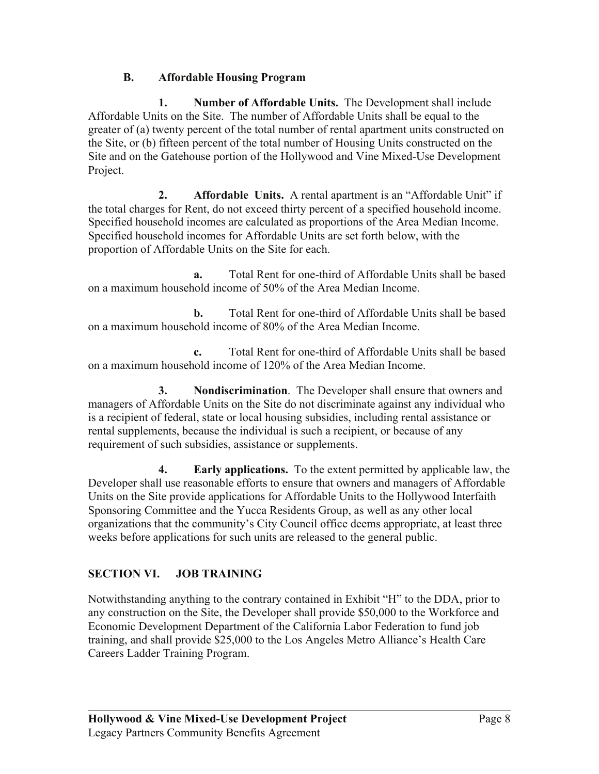# **B. Affordable Housing Program**

**1. Number of Affordable Units.** The Development shall include Affordable Units on the Site. The number of Affordable Units shall be equal to the greater of (a) twenty percent of the total number of rental apartment units constructed on the Site, or (b) fifteen percent of the total number of Housing Units constructed on the Site and on the Gatehouse portion of the Hollywood and Vine Mixed-Use Development Project.

**2. Affordable Units.** A rental apartment is an "Affordable Unit" if the total charges for Rent, do not exceed thirty percent of a specified household income. Specified household incomes are calculated as proportions of the Area Median Income. Specified household incomes for Affordable Units are set forth below, with the proportion of Affordable Units on the Site for each.

**a.** Total Rent for one-third of Affordable Units shall be based on a maximum household income of 50% of the Area Median Income.

**b.** Total Rent for one-third of Affordable Units shall be based on a maximum household income of 80% of the Area Median Income.

**c.** Total Rent for one-third of Affordable Units shall be based on a maximum household income of 120% of the Area Median Income.

**3. Nondiscrimination**. The Developer shall ensure that owners and managers of Affordable Units on the Site do not discriminate against any individual who is a recipient of federal, state or local housing subsidies, including rental assistance or rental supplements, because the individual is such a recipient, or because of any requirement of such subsidies, assistance or supplements.

**4. Early applications.** To the extent permitted by applicable law, the Developer shall use reasonable efforts to ensure that owners and managers of Affordable Units on the Site provide applications for Affordable Units to the Hollywood Interfaith Sponsoring Committee and the Yucca Residents Group, as well as any other local organizations that the community's City Council office deems appropriate, at least three weeks before applications for such units are released to the general public.

# **SECTION VI. JOB TRAINING**

Notwithstanding anything to the contrary contained in Exhibit "H" to the DDA, prior to any construction on the Site, the Developer shall provide \$50,000 to the Workforce and Economic Development Department of the California Labor Federation to fund job training, and shall provide \$25,000 to the Los Angeles Metro Alliance's Health Care Careers Ladder Training Program.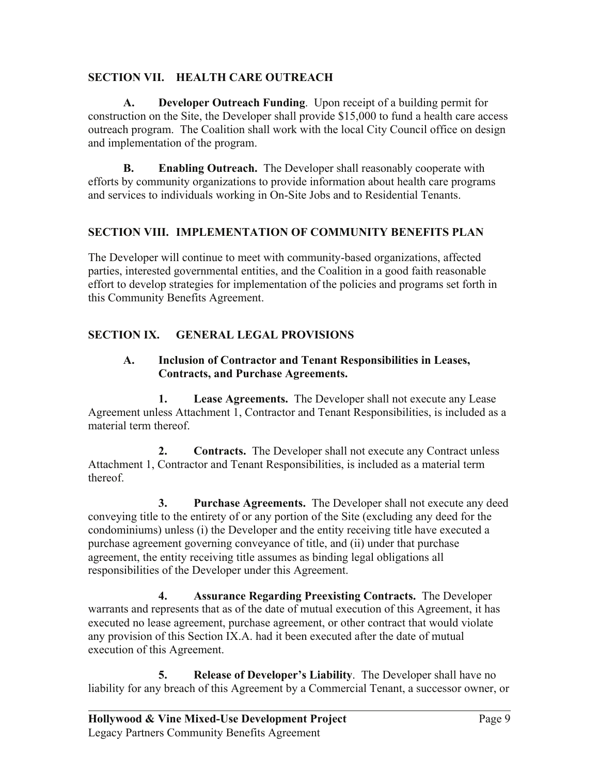### **SECTION VII. HEALTH CARE OUTREACH**

**A. Developer Outreach Funding**. Upon receipt of a building permit for construction on the Site, the Developer shall provide \$15,000 to fund a health care access outreach program. The Coalition shall work with the local City Council office on design and implementation of the program.

**B. Enabling Outreach.** The Developer shall reasonably cooperate with efforts by community organizations to provide information about health care programs and services to individuals working in On-Site Jobs and to Residential Tenants.

### **SECTION VIII. IMPLEMENTATION OF COMMUNITY BENEFITS PLAN**

The Developer will continue to meet with community-based organizations, affected parties, interested governmental entities, and the Coalition in a good faith reasonable effort to develop strategies for implementation of the policies and programs set forth in this Community Benefits Agreement.

# **SECTION IX. GENERAL LEGAL PROVISIONS**

### **A. Inclusion of Contractor and Tenant Responsibilities in Leases, Contracts, and Purchase Agreements.**

**1. Lease Agreements.** The Developer shall not execute any Lease Agreement unless Attachment 1, Contractor and Tenant Responsibilities, is included as a material term thereof.

**2. Contracts.** The Developer shall not execute any Contract unless Attachment 1, Contractor and Tenant Responsibilities, is included as a material term thereof.

**3. Purchase Agreements.** The Developer shall not execute any deed conveying title to the entirety of or any portion of the Site (excluding any deed for the condominiums) unless (i) the Developer and the entity receiving title have executed a purchase agreement governing conveyance of title, and (ii) under that purchase agreement, the entity receiving title assumes as binding legal obligations all responsibilities of the Developer under this Agreement.

**4. Assurance Regarding Preexisting Contracts.** The Developer warrants and represents that as of the date of mutual execution of this Agreement, it has executed no lease agreement, purchase agreement, or other contract that would violate any provision of this Section IX.A. had it been executed after the date of mutual execution of this Agreement.

**5. Release of Developer's Liability**. The Developer shall have no liability for any breach of this Agreement by a Commercial Tenant, a successor owner, or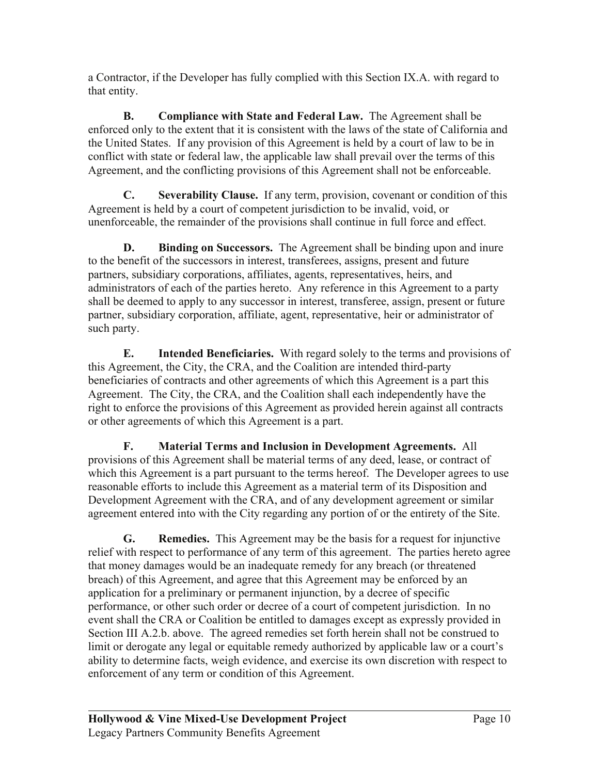a Contractor, if the Developer has fully complied with this Section IX.A. with regard to that entity.

**B. Compliance with State and Federal Law.** The Agreement shall be enforced only to the extent that it is consistent with the laws of the state of California and the United States. If any provision of this Agreement is held by a court of law to be in conflict with state or federal law, the applicable law shall prevail over the terms of this Agreement, and the conflicting provisions of this Agreement shall not be enforceable.

**C. Severability Clause.** If any term, provision, covenant or condition of this Agreement is held by a court of competent jurisdiction to be invalid, void, or unenforceable, the remainder of the provisions shall continue in full force and effect.

**D. Binding on Successors.** The Agreement shall be binding upon and inure to the benefit of the successors in interest, transferees, assigns, present and future partners, subsidiary corporations, affiliates, agents, representatives, heirs, and administrators of each of the parties hereto. Any reference in this Agreement to a party shall be deemed to apply to any successor in interest, transferee, assign, present or future partner, subsidiary corporation, affiliate, agent, representative, heir or administrator of such party.

**E. Intended Beneficiaries.** With regard solely to the terms and provisions of this Agreement, the City, the CRA, and the Coalition are intended third-party beneficiaries of contracts and other agreements of which this Agreement is a part this Agreement. The City, the CRA, and the Coalition shall each independently have the right to enforce the provisions of this Agreement as provided herein against all contracts or other agreements of which this Agreement is a part.

**F. Material Terms and Inclusion in Development Agreements.** All provisions of this Agreement shall be material terms of any deed, lease, or contract of which this Agreement is a part pursuant to the terms hereof. The Developer agrees to use reasonable efforts to include this Agreement as a material term of its Disposition and Development Agreement with the CRA, and of any development agreement or similar agreement entered into with the City regarding any portion of or the entirety of the Site.

**G. Remedies.** This Agreement may be the basis for a request for injunctive relief with respect to performance of any term of this agreement. The parties hereto agree that money damages would be an inadequate remedy for any breach (or threatened breach) of this Agreement, and agree that this Agreement may be enforced by an application for a preliminary or permanent injunction, by a decree of specific performance, or other such order or decree of a court of competent jurisdiction. In no event shall the CRA or Coalition be entitled to damages except as expressly provided in Section III A.2.b. above. The agreed remedies set forth herein shall not be construed to limit or derogate any legal or equitable remedy authorized by applicable law or a court's ability to determine facts, weigh evidence, and exercise its own discretion with respect to enforcement of any term or condition of this Agreement.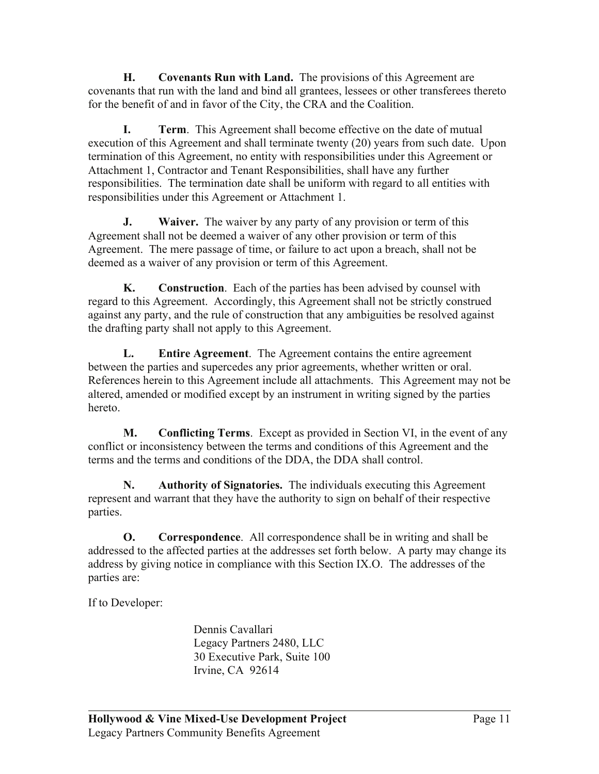**H. Covenants Run with Land.** The provisions of this Agreement are covenants that run with the land and bind all grantees, lessees or other transferees thereto for the benefit of and in favor of the City, the CRA and the Coalition.

**I. Term**. This Agreement shall become effective on the date of mutual execution of this Agreement and shall terminate twenty (20) years from such date. Upon termination of this Agreement, no entity with responsibilities under this Agreement or Attachment 1, Contractor and Tenant Responsibilities, shall have any further responsibilities. The termination date shall be uniform with regard to all entities with responsibilities under this Agreement or Attachment 1.

**J. Waiver.** The waiver by any party of any provision or term of this Agreement shall not be deemed a waiver of any other provision or term of this Agreement. The mere passage of time, or failure to act upon a breach, shall not be deemed as a waiver of any provision or term of this Agreement.

**K. Construction**. Each of the parties has been advised by counsel with regard to this Agreement. Accordingly, this Agreement shall not be strictly construed against any party, and the rule of construction that any ambiguities be resolved against the drafting party shall not apply to this Agreement.

**L. Entire Agreement**. The Agreement contains the entire agreement between the parties and supercedes any prior agreements, whether written or oral. References herein to this Agreement include all attachments. This Agreement may not be altered, amended or modified except by an instrument in writing signed by the parties hereto.

**M. Conflicting Terms**. Except as provided in Section VI, in the event of any conflict or inconsistency between the terms and conditions of this Agreement and the terms and the terms and conditions of the DDA, the DDA shall control.

**N. Authority of Signatories.** The individuals executing this Agreement represent and warrant that they have the authority to sign on behalf of their respective parties.

**O. Correspondence**. All correspondence shall be in writing and shall be addressed to the affected parties at the addresses set forth below. A party may change its address by giving notice in compliance with this Section IX.O. The addresses of the parties are:

If to Developer:

 Dennis Cavallari Legacy Partners 2480, LLC 30 Executive Park, Suite 100 Irvine, CA 92614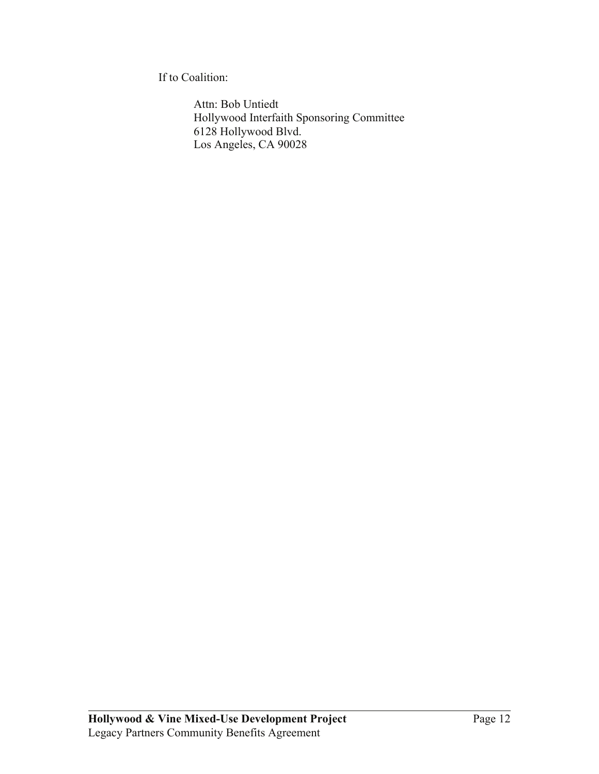If to Coalition:

 Attn: Bob Untiedt Hollywood Interfaith Sponsoring Committee 6128 Hollywood Blvd. Los Angeles, CA 90028